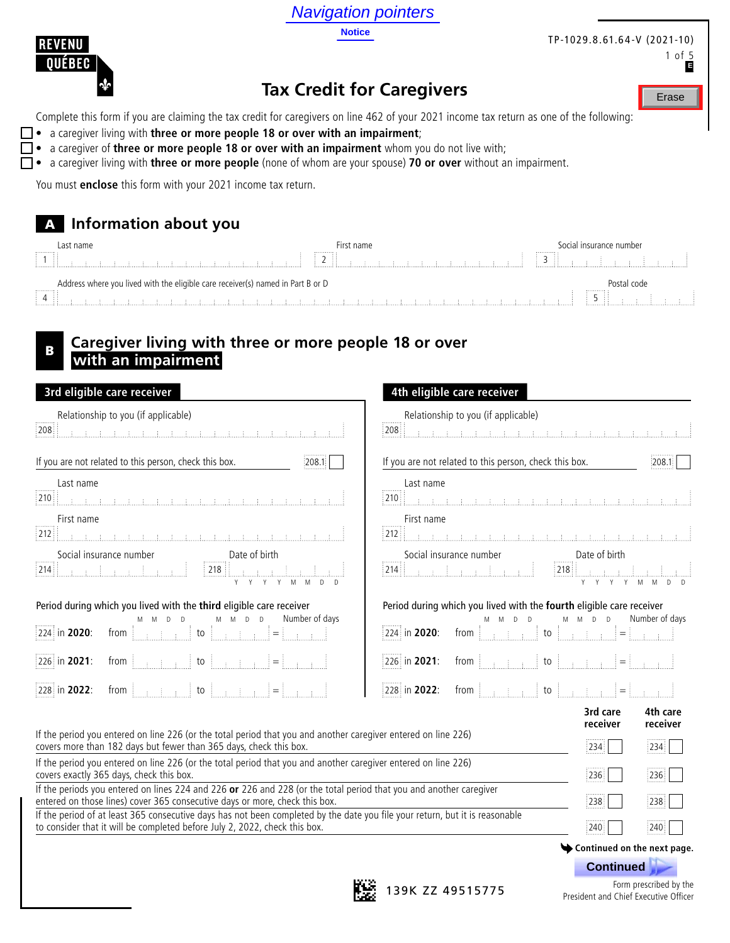Navigation pointers

**Notice**



#### TP-1029.8.61.64-V (2021-10) 1 of 5

**E**

Erase

# **Tax Credit for Caregivers**

Complete this form if you are claiming the tax credit for caregivers on line 462 of your 2021 income tax return as one of the following:

- a caregiver living with **three or more people 18 or over with an impairment**;
- a caregiver of **three or more people 18 or over with an impairment** whom you do not live with;
- a caregiver living with **three or more people** (none of whom are your spouse) **70 or over** without an impairment.

You must **enclose** this form with your 2021 income tax return.

## A **Information about you**

| Last name<br>.                                                                               | -irst name<br>.      | Social insurance number<br>.                         |
|----------------------------------------------------------------------------------------------|----------------------|------------------------------------------------------|
| .<br>.                                                                                       | $\cdots$<br>$\cdots$ | .                                                    |
| Address where you lived with the eligible care receiver(s) named in Part B or D<br>.<br>- 11 |                      | code<br>Postal<br><br>.<br>$\cdots$<br>$\sim$ $\sim$ |

## <sup>B</sup> **Caregiver living with three or more people 18 or over with an impairment**

| 3rd eligible care receiver                                                                                                                                                                                                                                                          | 4th eligible care receiver                                                                                                                                                                                                        |  |  |
|-------------------------------------------------------------------------------------------------------------------------------------------------------------------------------------------------------------------------------------------------------------------------------------|-----------------------------------------------------------------------------------------------------------------------------------------------------------------------------------------------------------------------------------|--|--|
| Relationship to you (if applicable)                                                                                                                                                                                                                                                 | Relationship to you (if applicable)                                                                                                                                                                                               |  |  |
| 208                                                                                                                                                                                                                                                                                 | 208                                                                                                                                                                                                                               |  |  |
|                                                                                                                                                                                                                                                                                     |                                                                                                                                                                                                                                   |  |  |
| If you are not related to this person, check this box.                                                                                                                                                                                                                              | If you are not related to this person, check this box.                                                                                                                                                                            |  |  |
| 208.1                                                                                                                                                                                                                                                                               | [208.1]                                                                                                                                                                                                                           |  |  |
| Last name                                                                                                                                                                                                                                                                           | Last name                                                                                                                                                                                                                         |  |  |
|                                                                                                                                                                                                                                                                                     | .<br>1910 - Paris Land, and Antonio, and Antonio, and Antonio, and Antonio, and Antonio, and Antonio, and Antonio,                                                                                                                |  |  |
| First name                                                                                                                                                                                                                                                                          | First name                                                                                                                                                                                                                        |  |  |
|                                                                                                                                                                                                                                                                                     | 212   <u>Participal de la constitución de la constitución de la constitución de la cons</u>                                                                                                                                       |  |  |
|                                                                                                                                                                                                                                                                                     | Social insurance number<br>214.   218.   218.   218.   218.   218.   218.   218.   218.   218.   218.   218.   218.   218.   218.   218.   218.   21.   21.   21.   21.   21.   21.   21.   21.   21.   21.   21.   21.   21.   2 |  |  |
| Period during which you lived with the third eligible care receiver<br>M M D D<br>Number of days<br>M M D D<br>[224 in 2020: from $\begin{bmatrix} 1 & 1 \\ 1 & 1 \end{bmatrix}$ to $\begin{bmatrix} 1 & 1 \\ 1 & 1 \end{bmatrix}$ = $\begin{bmatrix} 1 & 1 \\ 1 & 1 \end{bmatrix}$ | Period during which you lived with the fourth eligible care receiver<br>M M D D<br>Number of days<br>$D$ $D$<br>M M<br>224 in 2020:                                                                                               |  |  |
| from $\begin{bmatrix} 1 & 1 & 1 \\ 1 & 1 & 1 \\ 1 & 1 & 1 \end{bmatrix}$ to $\begin{bmatrix} 1 & 1 & 1 \\ 1 & 1 & 1 \\ 1 & 1 & 1 \end{bmatrix}$ $= \begin{bmatrix} 1 & 1 & 1 \\ 1 & 1 & 1 \\ 1 & 1 & 1 \end{bmatrix}$                                                               | from $\begin{bmatrix} 1 & 1 & 1 \\ 1 & 1 & 1 \\ 1 & 1 & 1 \end{bmatrix}$ to $\begin{bmatrix} 1 & 1 & 1 \\ 1 & 1 & 1 \\ 1 & 1 & 1 \end{bmatrix} = \begin{bmatrix} 1 & 1 & 1 \\ 1 & 1 & 1 \\ 1 & 1 & 1 \end{bmatrix}$               |  |  |
| 226 in 2021:                                                                                                                                                                                                                                                                        | 226 in 2021:                                                                                                                                                                                                                      |  |  |
| from $\begin{bmatrix} 1 & 1 & 1 \\ 1 & 1 & 1 \end{bmatrix}$ to $\begin{bmatrix} 1 & 1 & 1 \\ 1 & 1 & 1 \end{bmatrix}$ $\begin{bmatrix} 1 & 1 & 1 \\ 1 & 1 & 1 \end{bmatrix}$                                                                                                        | from $\begin{bmatrix} 1 & 1 & 1 \\ 1 & 1 & 1 \end{bmatrix}$ to $\begin{bmatrix} 1 & 1 & 1 \\ 1 & 1 & 1 \end{bmatrix}$ = $\begin{bmatrix} 1 & 1 & 1 \\ 1 & 1 & 1 \end{bmatrix}$                                                    |  |  |
| 228 in 2022:                                                                                                                                                                                                                                                                        | 228 in 2022:                                                                                                                                                                                                                      |  |  |
| If the period you entered on line 226 (or the total period that you and another caregiver entered on line 226)<br>covers more than 182 days but fewer than 365 days, check this box.                                                                                                | 3rd care<br>4th care<br>receiver<br>receiver<br> 234 <br> 234                                                                                                                                                                     |  |  |
| If the period you entered on line 226 (or the total period that you and another caregiver entered on line 226)                                                                                                                                                                      | 236                                                                                                                                                                                                                               |  |  |
| covers exactly 365 days, check this box.                                                                                                                                                                                                                                            | 236                                                                                                                                                                                                                               |  |  |
| If the periods you entered on lines 224 and 226 or 226 and 228 (or the total period that you and another caregiver                                                                                                                                                                  | 238                                                                                                                                                                                                                               |  |  |
| entered on those lines) cover 365 consecutive days or more, check this box.                                                                                                                                                                                                         | :238                                                                                                                                                                                                                              |  |  |
| If the period of at least 365 consecutive days has not been completed by the date you file your return, but it is reasonable                                                                                                                                                        | 240                                                                                                                                                                                                                               |  |  |
| to consider that it will be completed before July 2, 2022, check this box.                                                                                                                                                                                                          | :240                                                                                                                                                                                                                              |  |  |
|                                                                                                                                                                                                                                                                                     | Continued on the next page.                                                                                                                                                                                                       |  |  |



**139K ZZ 49515775** Form prescribed by the President and Chief Executive Officer

 **Continued .**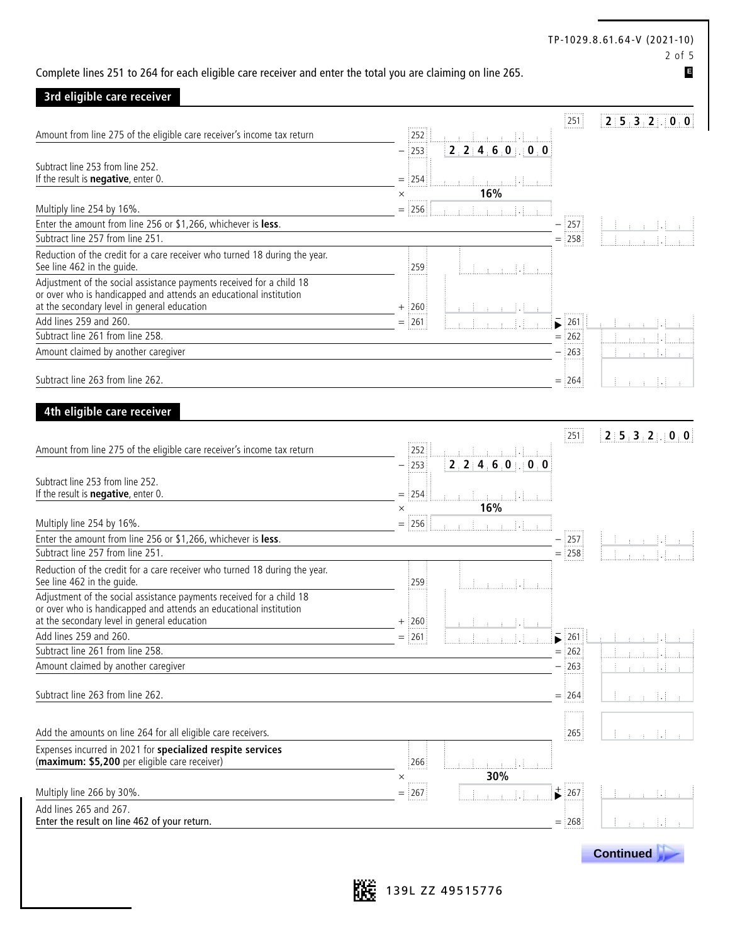#### 2 of 5 Complete lines 251 to 264 for each eligible care receiver and enter the total you are claiming on line 265. **3rd eligible care receiver** 251 **2 5 3 2** . **0 0** Amount from line 275 of the eligible care receiver's income tax return 252 . – 253 **2 2 4 6 0** . **0 0** Subtract line 253 from line 252. If the result is **negative**, enter 0. = 254 .  $\times$  **16%** Multiply line 254 by 16%.  $=$   $256$   $\frac{1}{256}$  .  $\frac{1}{256}$   $\frac{1}{256}$   $\frac{1}{256}$   $\frac{1}{256}$   $\frac{1}{256}$   $\frac{1}{256}$   $\frac{1}{256}$   $\frac{1}{256}$   $\frac{1}{256}$   $\frac{1}{256}$   $\frac{1}{256}$   $\frac{1}{256}$   $\frac{1}{256}$   $\frac{1}{256}$   $\frac$ Enter the amount from line 256 or \$1,266, whichever is **less**.  $\frac{257}{257}$  $\overline{\text{Subtract line}}$  257 from line 251.  $\overline{\text{Subtract line}}$  258 Reduction of the credit for a care receiver who turned 18 during the year. See line 462 in the guide.  $\overline{259}$  .  $\overline{259}$  .  $\overline{259}$  .  $\overline{259}$  .  $\overline{259}$  .  $\overline{259}$  .  $\overline{259}$  .  $\overline{259}$  .  $\overline{259}$  .  $\overline{259}$  .  $\overline{259}$  .  $\overline{259}$  .  $\overline{259}$  .  $\overline{259}$  .  $\overline{259}$  . Adjustment of the social assistance payments received for a child 18 or over who is handicapped and attends an educational institution at the secondary level in general education  $+ 260$ Add lines 259 and 260.  $=$   $261$   $\frac{1}{261}$   $\frac{1}{261}$   $\frac{1}{261}$   $\frac{1}{261}$   $\frac{1}{261}$   $\frac{1}{261}$   $\frac{1}{261}$   $\frac{1}{261}$ Subtract line 261 from line 258.  $=$  262  $\pm$ Amount claimed by another caregiver extends the control of the control of the control of the control of the control of the control of the control of the control of the control of the control of the control of the control o Subtract line 263 from line 262.  $=$   $\frac{1}{2}$ 64 **4th eligible care receiver** 251 **2 5 3 2** . **0 0** Amount from line 275 of the eligible care receiver's income tax return 252 252 . 252 . 252 . 253 . 253 . 253 . – 253 **2 2 4 6 0** . **0 0** Subtract line 253 from line 252. If the result is **negative**, enter 0. = 254 .  $\times$  **16%** Multiply line 254 by 16%. = 256 . Enter the amount from line 256 or \$1,266, whichever is **less**.  $\frac{1}{2}$   $\frac{1}{2}$   $\frac{1}{2}$  **257**  $\frac{1}{2}$   $\frac{1}{2}$   $\frac{1}{2}$   $\frac{1}{2}$   $\frac{1}{2}$   $\frac{1}{2}$   $\frac{1}{2}$   $\frac{1}{2}$   $\frac{1}{2}$   $\frac{1}{2}$   $\frac{1}{2}$   $\frac{1}{2}$   $\$ Subtract line 257 from line 251.  $=$  258 Reduction of the credit for a care receiver who turned 18 during the year. See line 462 in the guide.  $\overline{259}$  .  $\overline{259}$  .  $\overline{259}$  .  $\overline{259}$  .  $\overline{259}$  .  $\overline{259}$  .  $\overline{259}$  .  $\overline{259}$  .  $\overline{259}$  .  $\overline{259}$  .  $\overline{259}$  .  $\overline{259}$  .  $\overline{259}$  .  $\overline{259}$  .  $\overline{259}$  . Adjustment of the social assistance payments received for a child 18 or over who is handicapped and attends an educational institution at the secondary level in general education  $+$  260 Add lines 259 and 260.  $= 261$  .  $\frac{1}{261}$  .  $\frac{1}{261}$  .  $\frac{1}{261}$  .  $\frac{1}{261}$  .  $\frac{1}{261}$  .  $\frac{1}{261}$ Subtract line 261 from line 258.  $=$  262. Amount claimed by another caregiver extending the state of the state of the state of the state of the state of the state of the state of the state of the state of the state of the state of the state of the state of the sta Subtract line 263 from line 262.  $=$   $\frac{1}{2}$ 64 Add the amounts on line 264 for all eligible care receivers. 265 . 265 . 265 . 265 . 265 . 265 . 265 . 265 . 265 . 265 . 265 . 265 . 265 . 265 . 265 . 265 . 265 . 265 . 265 . 265 . 265 . 265 . 265 . 265 . 265 . 265 . 265 . Expenses incurred in 2021 for **specialized respite services** (**maximum: \$5,200** per eligible care receiver) 266 .  $\times$  **30%** Multiply line 266 by 30%. = 267 . 267 . **E**

Add lines 265 and 267. Enter the result on line 462 of your return.  $=$  268





TP-1029.8.61.64-V (2021-10)

 **Continued .**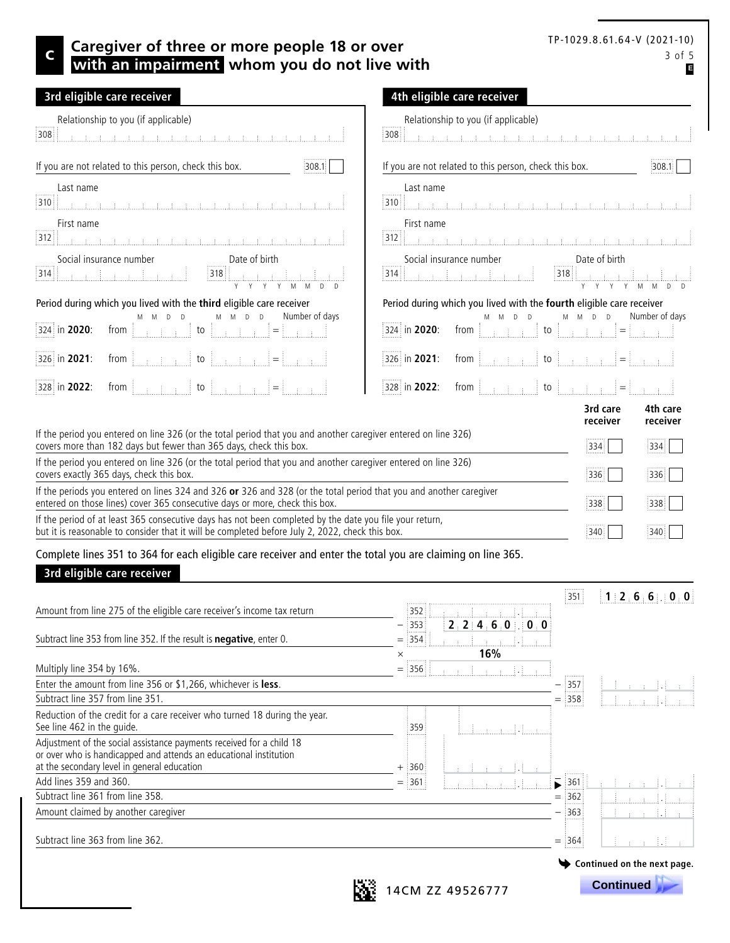## C 3 of 5 **Caregiver of three or more people 18 or over CAREGIVER 1979.8.8.81.84-V (2021-10) with an impairment whom you do not live with**

| TP-1029.8.61.64-V (2021-10) |        |
|-----------------------------|--------|
|                             | 3 of 5 |
|                             | В      |

| 3rd eligible care receiver                                                                                                                                                                                                                                                                                                                                                                                 | 4th eligible care receiver                                                                                                                                                                                                                                                                                            |
|------------------------------------------------------------------------------------------------------------------------------------------------------------------------------------------------------------------------------------------------------------------------------------------------------------------------------------------------------------------------------------------------------------|-----------------------------------------------------------------------------------------------------------------------------------------------------------------------------------------------------------------------------------------------------------------------------------------------------------------------|
| Relationship to you (if applicable)                                                                                                                                                                                                                                                                                                                                                                        | Relationship to you (if applicable)                                                                                                                                                                                                                                                                                   |
| أن المستقبل المسابق المستقبل المستقبل المستقبل المستقبل المستقبل المستقبل المستقبل المستقبل المستقبل                                                                                                                                                                                                                                                                                                       |                                                                                                                                                                                                                                                                                                                       |
| 308                                                                                                                                                                                                                                                                                                                                                                                                        | :308                                                                                                                                                                                                                                                                                                                  |
| If you are not related to this person, check this box.                                                                                                                                                                                                                                                                                                                                                     | If you are not related to this person, check this box.                                                                                                                                                                                                                                                                |
| 308.1                                                                                                                                                                                                                                                                                                                                                                                                      | 308.1                                                                                                                                                                                                                                                                                                                 |
| Last name                                                                                                                                                                                                                                                                                                                                                                                                  | Last name                                                                                                                                                                                                                                                                                                             |
| <u> 310   Karl Land, John Land, John Land, John Land, John Land, John Land, John Land, John Land, John Land, John L</u>                                                                                                                                                                                                                                                                                    |                                                                                                                                                                                                                                                                                                                       |
| First name                                                                                                                                                                                                                                                                                                                                                                                                 | First name<br>312                                                                                                                                                                                                                                                                                                     |
| Social insurance number<br>$\fbox{514} \begin{tabular}{ c c } \hline \multicolumn{1}{ c }{\textbf{514}} & \multicolumn{1}{ c }{\textbf{514}} & \multicolumn{1}{ c }{\textbf{514}} & \multicolumn{1}{ c }{\textbf{514}} & \multicolumn{1}{ c }{\textbf{514}} & \multicolumn{1}{ c }{\textbf{514}} & \multicolumn{1}{ c }{\textbf{514}} & \multicolumn{1}{ c }{\textbf{514}} & \multicolumn{1}{ c }{\textbf$ | Social insurance number<br>Date of birth<br>Social insurance number<br>[314] [318] [318] [318] [318] [318]                                                                                                                                                                                                            |
| Period during which you lived with the third eligible care receiver<br>Number of days<br>M M D D<br>$M$ $M$ $D$ $D$<br>from $\begin{bmatrix} 1 & 1 & 1 \\ 1 & 1 & 1 \end{bmatrix}$ to $\begin{bmatrix} 1 & 1 & 1 \\ 1 & 1 & 1 \end{bmatrix}$ $\begin{bmatrix} 1 & 1 & 1 \\ 1 & 1 & 1 \end{bmatrix}$<br>324 in 2020:                                                                                        | Period during which you lived with the fourth eligible care receiver<br>Number of days<br>M M D D<br>$D$ $D$<br>$M$ M<br>from $\begin{bmatrix} 1 & 1 & 1 \\ 1 & 1 & 1 \end{bmatrix}$ to $\begin{bmatrix} 1 & 1 & 1 \\ 1 & 1 & 1 \end{bmatrix}$ $\begin{bmatrix} 1 & 1 & 1 \\ 1 & 1 & 1 \end{bmatrix}$<br>324 in 2020: |
| from $\begin{bmatrix} 1 & 1 & 1 \\ 1 & 1 & 1 \\ 1 & 1 & 1 \end{bmatrix}$ to $\begin{bmatrix} 1 & 1 & 1 \\ 1 & 1 & 1 \\ 1 & 1 & 1 \end{bmatrix} = \begin{bmatrix} 1 & 1 & 1 \\ 1 & 1 & 1 \\ 1 & 1 & 1 \end{bmatrix}$<br>326 in 2021:                                                                                                                                                                        | $326$ in 2021: from $\begin{bmatrix} 1 & 1 & 1 \\ 1 & 1 & 1 \end{bmatrix}$ to $\begin{bmatrix} 1 & 1 & 1 \\ 1 & 1 & 1 \end{bmatrix} = \begin{bmatrix} 1 & 1 & 1 \\ 1 & 1 & 1 \end{bmatrix}$                                                                                                                           |
| from $\begin{bmatrix} 1 & 1 & 1 \\ 1 & 1 & 1 \end{bmatrix}$ to $\begin{bmatrix} 1 & 1 & 1 \\ 1 & 1 & 1 \end{bmatrix}$ $\begin{bmatrix} 1 & 1 & 1 \\ 1 & 1 & 1 \end{bmatrix}$                                                                                                                                                                                                                               | from $\begin{bmatrix} 1 & 1 & 1 \\ 1 & 1 & 1 \end{bmatrix}$ to $\begin{bmatrix} 1 & 1 & 1 \\ 1 & 1 & 1 \end{bmatrix}$ = $\begin{bmatrix} 1 & 1 & 1 \\ 1 & 1 & 1 \end{bmatrix}$                                                                                                                                        |
| 328 in 2022:                                                                                                                                                                                                                                                                                                                                                                                               | 328 in 2022:                                                                                                                                                                                                                                                                                                          |
|                                                                                                                                                                                                                                                                                                                                                                                                            | 4th care<br>3rd care<br>receiver<br>receiver                                                                                                                                                                                                                                                                          |
| If the period you entered on line 326 (or the total period that you and another caregiver entered on line 326)                                                                                                                                                                                                                                                                                             | 334.                                                                                                                                                                                                                                                                                                                  |
| covers more than 182 days but fewer than 365 days, check this box.                                                                                                                                                                                                                                                                                                                                         | 334                                                                                                                                                                                                                                                                                                                   |
| If the period you entered on line 326 (or the total period that you and another caregiver entered on line 326)                                                                                                                                                                                                                                                                                             | :336                                                                                                                                                                                                                                                                                                                  |
| covers exactly 365 days, check this box.                                                                                                                                                                                                                                                                                                                                                                   | 336                                                                                                                                                                                                                                                                                                                   |
| If the periods you entered on lines 324 and 326 or 326 and 328 (or the total period that you and another caregiver                                                                                                                                                                                                                                                                                         | :338                                                                                                                                                                                                                                                                                                                  |
| entered on those lines) cover 365 consecutive days or more, check this box.                                                                                                                                                                                                                                                                                                                                | 338                                                                                                                                                                                                                                                                                                                   |
| If the period of at least 365 consecutive days has not been completed by the date you file your return,                                                                                                                                                                                                                                                                                                    | 340                                                                                                                                                                                                                                                                                                                   |
| but it is reasonable to consider that it will be completed before July 2, 2022, check this box.                                                                                                                                                                                                                                                                                                            | 340                                                                                                                                                                                                                                                                                                                   |

Complete lines 351 to 364 for each eligible care receiver and enter the total you are claiming on line 365.

### **3rd eligible care receiver**

|                                                                                                                                                                                          |                      |                            | $\frac{1}{2}$ 351 $\frac{1}{2}$ | 1:2:6:6:0:0                 |
|------------------------------------------------------------------------------------------------------------------------------------------------------------------------------------------|----------------------|----------------------------|---------------------------------|-----------------------------|
| Amount from line 275 of the eligible care receiver's income tax return                                                                                                                   | 13521                | <u> İ. 1 1</u>             |                                 |                             |
| Subtract line 353 from line 352. If the result is <b>negative</b> , enter 0.                                                                                                             | :353 :<br>. ;<br>354 | 2, 2, 4, 6, 0, 0, 0<br>16% |                                 |                             |
| Multiply line 354 by 16%.                                                                                                                                                                | ×<br>356<br>$=$      | $\sim$ 1.1                 |                                 |                             |
| Enter the amount from line 356 or \$1,266, whichever is less.                                                                                                                            |                      |                            | 357                             |                             |
| Subtract line 357 from line 351.                                                                                                                                                         |                      |                            | 358<br>$=$                      |                             |
| Reduction of the credit for a care receiver who turned 18 during the year.<br>See line 462 in the quide.                                                                                 | : 359 :              |                            |                                 |                             |
| Adjustment of the social assistance payments received for a child 18<br>or over who is handicapped and attends an educational institution<br>at the secondary level in general education | $+$ 360              |                            |                                 |                             |
| Add lines 359 and 360.                                                                                                                                                                   | .<br>361<br>$=$      |                            | $\geq$ 361                      |                             |
| Subtract line 361 from line 358.                                                                                                                                                         |                      |                            | $=$ 362                         |                             |
| Amount claimed by another caregiver                                                                                                                                                      |                      |                            | 363                             |                             |
| Subtract line 363 from line 362.                                                                                                                                                         |                      |                            | $=$ 364                         | 1981 B                      |
|                                                                                                                                                                                          |                      |                            |                                 | Continued on the next page. |
|                                                                                                                                                                                          |                      | 4CM 77 49526777            |                                 | <b>Continued</b>            |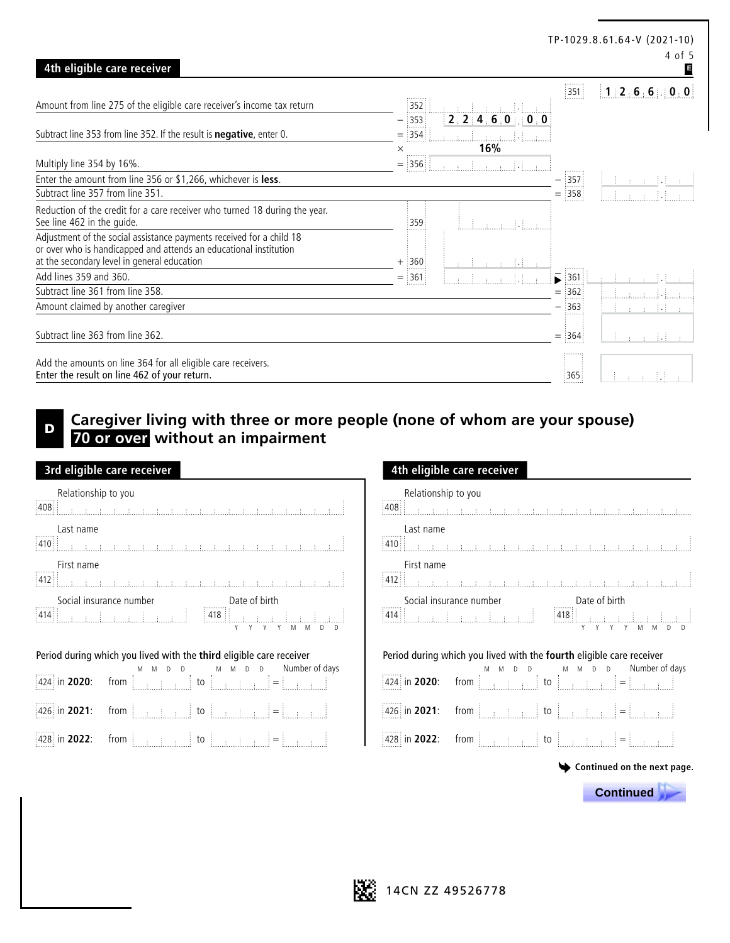|                                                                                                                                                                                          |                                     |                                     |                          | TP-1029.8.61.64-V (2021-10)<br>4 of 5 |
|------------------------------------------------------------------------------------------------------------------------------------------------------------------------------------------|-------------------------------------|-------------------------------------|--------------------------|---------------------------------------|
| 4th eligible care receiver                                                                                                                                                               |                                     |                                     |                          | E                                     |
| Amount from line 275 of the eligible care receiver's income tax return                                                                                                                   | 352                                 |                                     | $\frac{1}{2}$ 351        | 1:2:6:6:0:0                           |
| Subtract line 353 from line 352. If the result is <b>negative</b> , enter 0.                                                                                                             | $\frac{1}{2}353$<br>وللتنبيذ<br>354 | 2, 2, 4, 6, 0, 0, 0                 |                          |                                       |
| Multiply line 354 by 16%.                                                                                                                                                                | $\times$<br><br>$=$ 356             | 16%<br>$\text{minmax}(\mathcal{A})$ |                          |                                       |
| Enter the amount from line 356 or \$1,266, whichever is less.                                                                                                                            |                                     |                                     | $\frac{1}{2}$ 357<br>. 3 |                                       |
| Subtract line 357 from line 351.                                                                                                                                                         |                                     |                                     | $=$ 358                  |                                       |
| Reduction of the credit for a care receiver who turned 18 during the year.<br>See line 462 in the guide.                                                                                 | 359                                 |                                     |                          |                                       |
| Adjustment of the social assistance payments received for a child 18<br>or over who is handicapped and attends an educational institution<br>at the secondary level in general education | $+$ :360                            |                                     |                          |                                       |
| Add lines 359 and 360.                                                                                                                                                                   | $=$ 361                             |                                     | $\frac{1}{2}361$<br>ь    |                                       |
| Subtract line 361 from line 358.                                                                                                                                                         |                                     |                                     | 1362<br>$=$              |                                       |
| Amount claimed by another caregiver                                                                                                                                                      |                                     |                                     | 363                      | 主 子 子 手車                              |
| Subtract line 363 from line 362.                                                                                                                                                         |                                     |                                     | $=$ 364                  | an an Idir                            |
| Add the amounts on line 364 for all eligible care receivers.<br>Enter the result on line 462 of your return.                                                                             |                                     |                                     | : 365                    | na mata 1910.<br>Mga ang              |

## **Caregiver living with three or more people (none of whom are your spouse) 70 or over without an impairment**

| 3rd eligible care receiver                                                                                                                                                                                                                                                                       | 4th eligible care receiver                                                                                                                                                                                                           |
|--------------------------------------------------------------------------------------------------------------------------------------------------------------------------------------------------------------------------------------------------------------------------------------------------|--------------------------------------------------------------------------------------------------------------------------------------------------------------------------------------------------------------------------------------|
| Relationship to you<br>$\begin{array}{c} 1.0001 \\ 408 \end{array}$                                                                                                                                                                                                                              | Relationship to you<br>408                                                                                                                                                                                                           |
| Last name<br>$\boxed{410}$                                                                                                                                                                                                                                                                       | Last name                                                                                                                                                                                                                            |
| First name<br>$\boxed{412}$<br><u> 1919 - John Louis, martin fisikal menghalan kembangan da</u>                                                                                                                                                                                                  | First name                                                                                                                                                                                                                           |
|                                                                                                                                                                                                                                                                                                  | Social insurance number<br>2414   Capital Indiana   Capital Indiana   Capital Indiana   Capital Indiana   Capital Indiana   Capital Indiana<br>2418   Capital Indiana   Capital Indiana   Capital Indiana   Capital Indiana   Capita |
| Period during which you lived with the third eligible care receiver<br>$\begin{bmatrix} 424 & \text{in } 2020: \end{bmatrix}$ from $\begin{bmatrix} 0 & \text{in } 10 \end{bmatrix}$ to $\begin{bmatrix} 0 & \text{in } 10 \end{bmatrix}$ = $\begin{bmatrix} 1 & \text{in } 2020: \end{bmatrix}$ | Period during which you lived with the fourth eligible care                                                                                                                                                                          |
| 426 in 2021:                                                                                                                                                                                                                                                                                     | 426 in 2021: from $\begin{bmatrix} 426 & 426 \\ 426 & 1 \end{bmatrix}$ to $\begin{bmatrix} 426 & 44 \\ 44 & 1 \end{bmatrix}$ =                                                                                                       |

## **3rd eligible care receiver 4th eligible care receiver** Relationship to you ŧ First name <u> Alan kan kan kan kan kan kan</u> Social insurance number<br>  $\begin{tabular}{|c|c|c|c|} \hline & \multicolumn{1}{|c|}{\textbf{Date of birth}} \\ \hline \multicolumn{1}{|c|}{\textbf{Date of birth}} & \multicolumn{1}{|c|}{\textbf{Base of birth}} \\ \hline \multicolumn{1}{|c|}{\textbf{Base of the time}} & \multicolumn{1}{|c|}{\textbf{Base of the time}} \\ \hline \multicolumn{1}{|c|}{\textbf{Base of the time}} & \multicolumn{1}{|c|}{\textbf{Base of the time}} \\ \hline \multicolumn{1}{|c|}{\textbf{Base of the time}}$  $\mathbb{R}^2$ Y Y Y Y M M D D Y Y Y Y M M D D Period during which you lived with the **fourth** eligible care receiver M M D D M M D D Number of days in **2020**: from  $426$  in **2021**: from  $\begin{bmatrix} 1 & 0 & 0 \\ 0 & 1 & 0 \\ 0 & 0 & 0 \end{bmatrix}$  to  $\begin{bmatrix} 1 & 0 & 0 \\ 0 & 1 & 0 \\ 0 & 1 & 0 \end{bmatrix}$  $428$  in **2022**: from  $\begin{bmatrix} 1 & 1 & 1 \\ 1 & 1 & 1 \end{bmatrix}$  to  $\begin{bmatrix} 1 & 1 & 1 \\ 1 & 1 & 1 \end{bmatrix}$  =  $\begin{bmatrix} 1 & 1 & 1 \\ 1 & 1 & 1 \end{bmatrix}$  =  $\begin{bmatrix} 428 & 10 & 2022 \\ 1 & 1 & 20222 \end{bmatrix}$  from  $\begin{bmatrix} 1 & 1 & 1 \\ 1 & 1 & 1 \end{bmatrix}$  to  $\begin{bmatrix} 1 & 1 &$

 **Continued .**